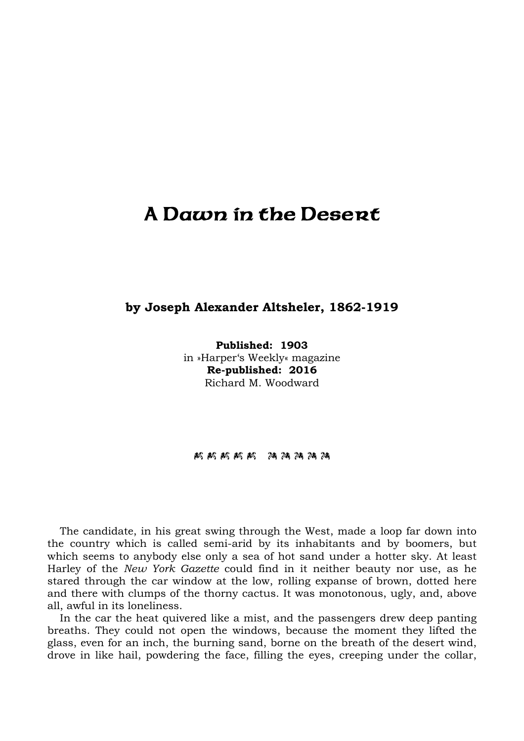## A Dawn in the Desert

## **by Joseph Alexander Altsheler, 1862-1919**

**Published: 1903** in »Harper's Weekly« magazine **Re-published: 2016** Richard M. Woodward

## 玛玛斯阿斯 28 玛斯斯

The candidate, in his great swing through the West, made a loop far down into the country which is called semi-arid by its inhabitants and by boomers, but which seems to anybody else only a sea of hot sand under a hotter sky. At least Harley of the *New York Gazette* could find in it neither beauty nor use, as he stared through the car window at the low, rolling expanse of brown, dotted here and there with clumps of the thorny cactus. It was monotonous, ugly, and, above all, awful in its loneliness.

In the car the heat quivered like a mist, and the passengers drew deep panting breaths. They could not open the windows, because the moment they lifted the glass, even for an inch, the burning sand, borne on the breath of the desert wind, drove in like hail, powdering the face, filling the eyes, creeping under the collar,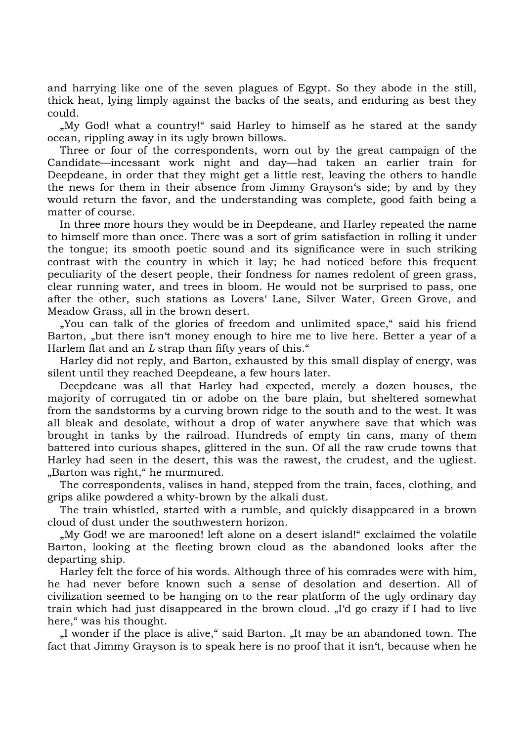and harrying like one of the seven plagues of Egypt. So they abode in the still, thick heat, lying limply against the backs of the seats, and enduring as best they could.

"My God! what a country!" said Harley to himself as he stared at the sandy ocean, rippling away in its ugly brown billows.

Three or four of the correspondents, worn out by the great campaign of the Candidate—incessant work night and day—had taken an earlier train for Deepdeane, in order that they might get a little rest, leaving the others to handle the news for them in their absence from Jimmy Grayson's side; by and by they would return the favor, and the understanding was complete, good faith being a matter of course.

In three more hours they would be in Deepdeane, and Harley repeated the name to himself more than once. There was a sort of grim satisfaction in rolling it under the tongue; its smooth poetic sound and its significance were in such striking contrast with the country in which it lay; he had noticed before this frequent peculiarity of the desert people, their fondness for names redolent of green grass, clear running water, and trees in bloom. He would not be surprised to pass, one after the other, such stations as Lovers' Lane, Silver Water, Green Grove, and Meadow Grass, all in the brown desert.

"You can talk of the glories of freedom and unlimited space," said his friend Barton, "but there isn't money enough to hire me to live here. Better a year of a Harlem flat and an *L* strap than fifty years of this."

Harley did not reply, and Barton, exhausted by this small display of energy, was silent until they reached Deepdeane, a few hours later.

Deepdeane was all that Harley had expected, merely a dozen houses, the majority of corrugated tin or adobe on the bare plain, but sheltered somewhat from the sandstorms by a curving brown ridge to the south and to the west. It was all bleak and desolate, without a drop of water anywhere save that which was brought in tanks by the railroad. Hundreds of empty tin cans, many of them battered into curious shapes, glittered in the sun. Of all the raw crude towns that Harley had seen in the desert, this was the rawest, the crudest, and the ugliest. "Barton was right," he murmured.

The correspondents, valises in hand, stepped from the train, faces, clothing, and grips alike powdered a whity-brown by the alkali dust.

The train whistled, started with a rumble, and quickly disappeared in a brown cloud of dust under the southwestern horizon.

"My God! we are marooned! left alone on a desert island!" exclaimed the volatile Barton, looking at the fleeting brown cloud as the abandoned looks after the departing ship.

Harley felt the force of his words. Although three of his comrades were with him, he had never before known such a sense of desolation and desertion. All of civilization seemed to be hanging on to the rear platform of the ugly ordinary day train which had just disappeared in the brown cloud. "I'd go crazy if I had to live here," was his thought.

"I wonder if the place is alive," said Barton. "It may be an abandoned town. The fact that Jimmy Grayson is to speak here is no proof that it isn't, because when he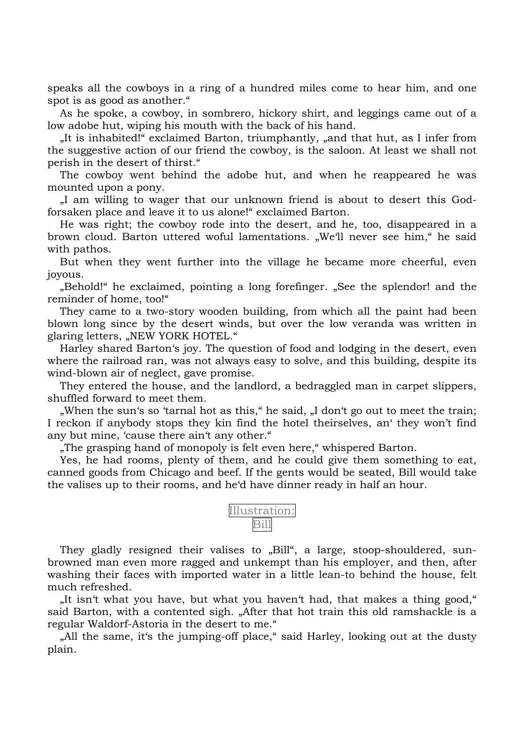speaks all the cowboys in a ring of a hundred miles come to hear him, and one spot is as good as another."

As he spoke, a cowboy, in sombrero, hickory shirt, and leggings came out of a low adobe hut, wiping his mouth with the back of his hand.

"It is inhabited!" exclaimed Barton, triumphantly, "and that hut, as I infer from the suggestive action of our friend the cowboy, is the saloon. At least we shall not perish in the desert of thirst."

The cowboy went behind the adobe hut, and when he reappeared he was mounted upon a pony.

"I am willing to wager that our unknown friend is about to desert this Godforsaken place and leave it to us alone!" exclaimed Barton.

He was right; the cowboy rode into the desert, and he, too, disappeared in a brown cloud. Barton uttered woful lamentations. "We'll never see him," he said with pathos.

But when they went further into the village he became more cheerful, even joyous.

"Behold!" he exclaimed, pointing a long forefinger. "See the splendor! and the reminder of home, too!"

They came to a two-story wooden building, from which all the paint had been blown long since by the desert winds, but over the low veranda was written in glaring letters, "NEW YORK HOTEL."

Harley shared Barton's joy. The question of food and lodging in the desert, even where the railroad ran, was not always easy to solve, and this building, despite its wind-blown air of neglect, gave promise.

They entered the house, and the landlord, a bedraggled man in carpet slippers, shuffled forward to meet them.

"When the sun's so 'tarnal hot as this," he said, "I don't go out to meet the train; I reckon if anybody stops they kin find the hotel theirselves, an' they won't find any but mine, 'cause there ain't any other."

"The grasping hand of monopoly is felt even here," whispered Barton.

Yes, he had rooms, plenty of them, and he could give them something to eat, canned goods from Chicago and beef. If the gents would be seated, Bill would take the valises up to their rooms, and he'd have dinner ready in half an hour.



They gladly resigned their valises to "Bill", a large, stoop-shouldered, sunbrowned man even more ragged and unkempt than his employer, and then, after washing their faces with imported water in a little lean-to behind the house, felt much refreshed.

"It isn't what you have, but what you haven't had, that makes a thing good," said Barton, with a contented sigh. "After that hot train this old ramshackle is a regular Waldorf-Astoria in the desert to me."

"All the same, it's the jumping-off place," said Harley, looking out at the dusty plain.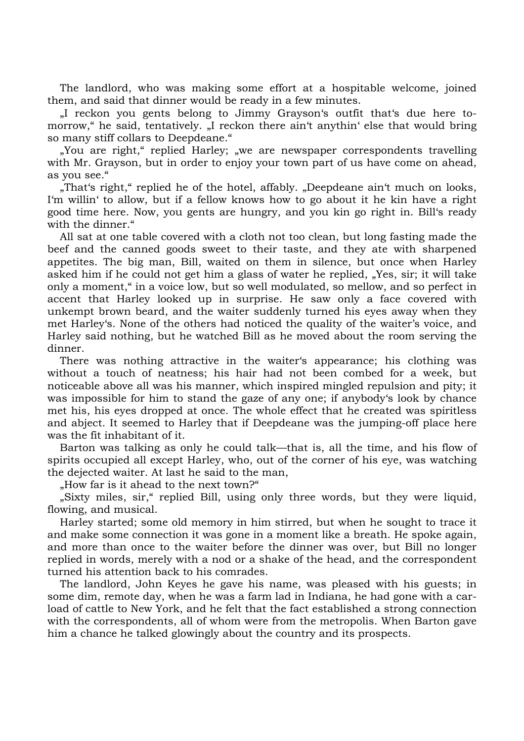The landlord, who was making some effort at a hospitable welcome, joined them, and said that dinner would be ready in a few minutes.

"I reckon you gents belong to Jimmy Grayson's outfit that's due here tomorrow," he said, tentatively. "I reckon there ain't anythin' else that would bring so many stiff collars to Deepdeane."

"You are right," replied Harley; "we are newspaper correspondents travelling" with Mr. Grayson, but in order to enjoy your town part of us have come on ahead, as you see."

"That's right," replied he of the hotel, affably. "Deepdeane ain't much on looks, I'm willin' to allow, but if a fellow knows how to go about it he kin have a right good time here. Now, you gents are hungry, and you kin go right in. Bill's ready with the dinner."

All sat at one table covered with a cloth not too clean, but long fasting made the beef and the canned goods sweet to their taste, and they ate with sharpened appetites. The big man, Bill, waited on them in silence, but once when Harley asked him if he could not get him a glass of water he replied, "Yes, sir; it will take only a moment," in a voice low, but so well modulated, so mellow, and so perfect in accent that Harley looked up in surprise. He saw only a face covered with unkempt brown beard, and the waiter suddenly turned his eyes away when they met Harley's. None of the others had noticed the quality of the waiter's voice, and Harley said nothing, but he watched Bill as he moved about the room serving the dinner.

There was nothing attractive in the waiter's appearance; his clothing was without a touch of neatness; his hair had not been combed for a week, but noticeable above all was his manner, which inspired mingled repulsion and pity; it was impossible for him to stand the gaze of any one; if anybody's look by chance met his, his eyes dropped at once. The whole effect that he created was spiritless and abject. It seemed to Harley that if Deepdeane was the jumping-off place here was the fit inhabitant of it.

Barton was talking as only he could talk—that is, all the time, and his flow of spirits occupied all except Harley, who, out of the corner of his eye, was watching the dejected waiter. At last he said to the man,

"How far is it ahead to the next town?"

"Sixty miles, sir," replied Bill, using only three words, but they were liquid, flowing, and musical.

Harley started; some old memory in him stirred, but when he sought to trace it and make some connection it was gone in a moment like a breath. He spoke again, and more than once to the waiter before the dinner was over, but Bill no longer replied in words, merely with a nod or a shake of the head, and the correspondent turned his attention back to his comrades.

The landlord, John Keyes he gave his name, was pleased with his guests; in some dim, remote day, when he was a farm lad in Indiana, he had gone with a carload of cattle to New York, and he felt that the fact established a strong connection with the correspondents, all of whom were from the metropolis. When Barton gave him a chance he talked glowingly about the country and its prospects.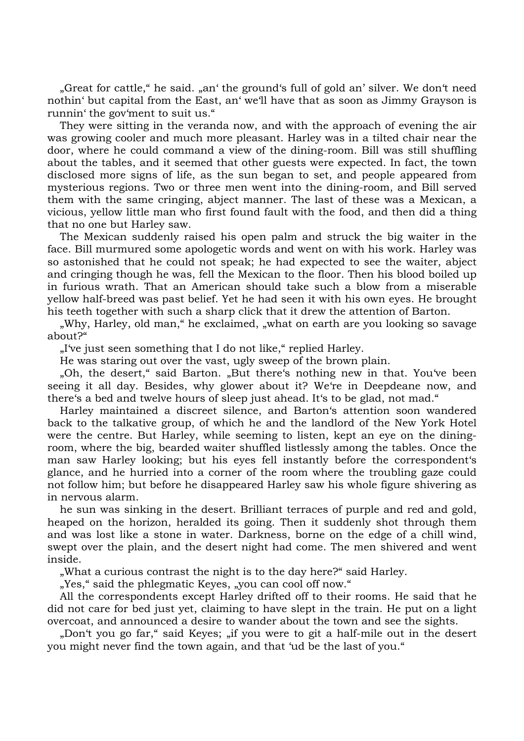"Great for cattle," he said. "an' the ground's full of gold an' silver. We don't need nothin' but capital from the East, an' we'll have that as soon as Jimmy Grayson is runnin' the gov'ment to suit us."

They were sitting in the veranda now, and with the approach of evening the air was growing cooler and much more pleasant. Harley was in a tilted chair near the door, where he could command a view of the dining-room. Bill was still shuffling about the tables, and it seemed that other guests were expected. In fact, the town disclosed more signs of life, as the sun began to set, and people appeared from mysterious regions. Two or three men went into the dining-room, and Bill served them with the same cringing, abject manner. The last of these was a Mexican, a vicious, yellow little man who first found fault with the food, and then did a thing that no one but Harley saw.

The Mexican suddenly raised his open palm and struck the big waiter in the face. Bill murmured some apologetic words and went on with his work. Harley was so astonished that he could not speak; he had expected to see the waiter, abject and cringing though he was, fell the Mexican to the floor. Then his blood boiled up in furious wrath. That an American should take such a blow from a miserable yellow half-breed was past belief. Yet he had seen it with his own eyes. He brought his teeth together with such a sharp click that it drew the attention of Barton.

"Why, Harley, old man," he exclaimed, "what on earth are you looking so savage about?"

"I've just seen something that I do not like," replied Harley.

He was staring out over the vast, ugly sweep of the brown plain.

"Oh, the desert," said Barton. "But there's nothing new in that. You've been seeing it all day. Besides, why glower about it? We're in Deepdeane now, and there's a bed and twelve hours of sleep just ahead. It's to be glad, not mad."

Harley maintained a discreet silence, and Barton's attention soon wandered back to the talkative group, of which he and the landlord of the New York Hotel were the centre. But Harley, while seeming to listen, kept an eye on the diningroom, where the big, bearded waiter shuffled listlessly among the tables. Once the man saw Harley looking; but his eyes fell instantly before the correspondent's glance, and he hurried into a corner of the room where the troubling gaze could not follow him; but before he disappeared Harley saw his whole figure shivering as in nervous alarm.

he sun was sinking in the desert. Brilliant terraces of purple and red and gold, heaped on the horizon, heralded its going. Then it suddenly shot through them and was lost like a stone in water. Darkness, borne on the edge of a chill wind, swept over the plain, and the desert night had come. The men shivered and went inside.

"What a curious contrast the night is to the day here?" said Harley.

"Yes," said the phlegmatic Keyes, "you can cool off now."

All the correspondents except Harley drifted off to their rooms. He said that he did not care for bed just yet, claiming to have slept in the train. He put on a light overcoat, and announced a desire to wander about the town and see the sights.

"Don't you go far," said Keyes; "if you were to git a half-mile out in the desert you might never find the town again, and that 'ud be the last of you."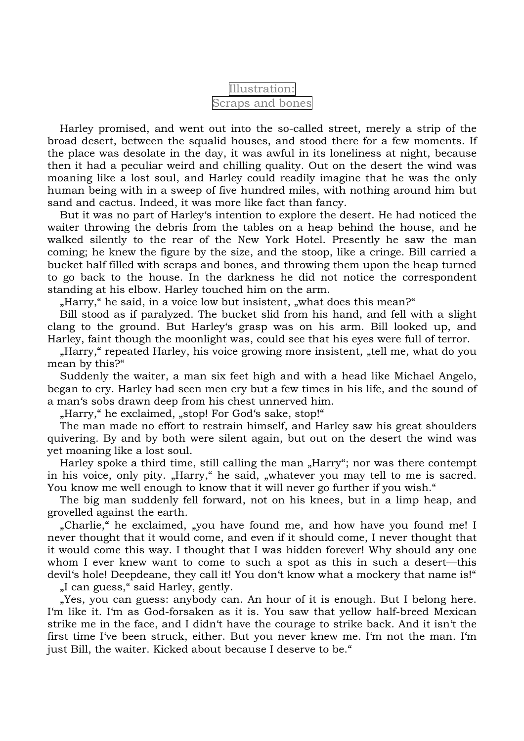| Illustration:    |  |  |
|------------------|--|--|
| Scraps and bones |  |  |

Harley promised, and went out into the so-called street, merely a strip of the broad desert, between the squalid houses, and stood there for a few moments. If the place was desolate in the day, it was awful in its loneliness at night, because then it had a peculiar weird and chilling quality. Out on the desert the wind was moaning like a lost soul, and Harley could readily imagine that he was the only human being with in a sweep of five hundred miles, with nothing around him but sand and cactus. Indeed, it was more like fact than fancy.

But it was no part of Harley's intention to explore the desert. He had noticed the waiter throwing the debris from the tables on a heap behind the house, and he walked silently to the rear of the New York Hotel. Presently he saw the man coming; he knew the figure by the size, and the stoop, like a cringe. Bill carried a bucket half filled with scraps and bones, and throwing them upon the heap turned to go back to the house. In the darkness he did not notice the correspondent standing at his elbow. Harley touched him on the arm.

"Harry," he said, in a voice low but insistent, "what does this mean?"

Bill stood as if paralyzed. The bucket slid from his hand, and fell with a slight clang to the ground. But Harley's grasp was on his arm. Bill looked up, and Harley, faint though the moonlight was, could see that his eyes were full of terror.

"Harry," repeated Harley, his voice growing more insistent, "tell me, what do you mean by this?"

Suddenly the waiter, a man six feet high and with a head like Michael Angelo, began to cry. Harley had seen men cry but a few times in his life, and the sound of a man's sobs drawn deep from his chest unnerved him.

"Harry," he exclaimed, "stop! For God's sake, stop!"

The man made no effort to restrain himself, and Harley saw his great shoulders quivering. By and by both were silent again, but out on the desert the wind was yet moaning like a lost soul.

Harley spoke a third time, still calling the man "Harry"; nor was there contempt in his voice, only pity. "Harry," he said, "whatever you may tell to me is sacred. You know me well enough to know that it will never go further if you wish."

The big man suddenly fell forward, not on his knees, but in a limp heap, and grovelled against the earth.

"Charlie," he exclaimed, "you have found me, and how have you found me! I never thought that it would come, and even if it should come, I never thought that it would come this way. I thought that I was hidden forever! Why should any one whom I ever knew want to come to such a spot as this in such a desert—this devil's hole! Deepdeane, they call it! You don't know what a mockery that name is!"

"I can guess," said Harley, gently.

"Yes, you can guess: anybody can. An hour of it is enough. But I belong here. I'm like it. I'm as God-forsaken as it is. You saw that yellow half-breed Mexican strike me in the face, and I didn't have the courage to strike back. And it isn't the first time I've been struck, either. But you never knew me. I'm not the man. I'm just Bill, the waiter. Kicked about because I deserve to be."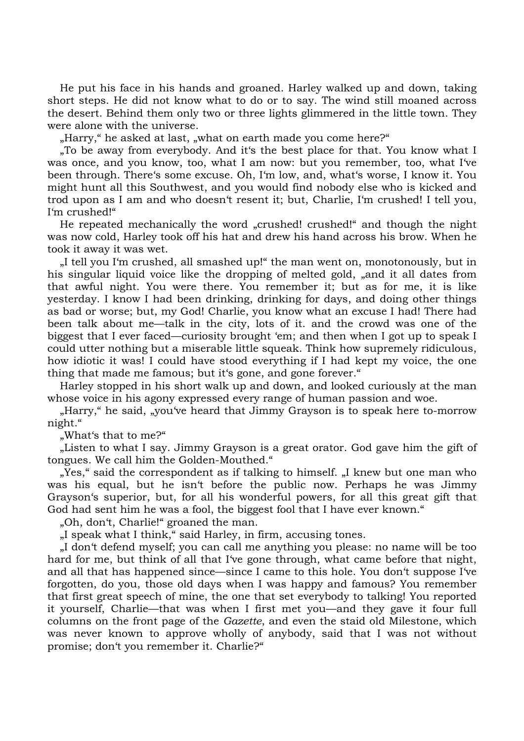He put his face in his hands and groaned. Harley walked up and down, taking short steps. He did not know what to do or to say. The wind still moaned across the desert. Behind them only two or three lights glimmered in the little town. They were alone with the universe.

"Harry," he asked at last, "what on earth made you come here?"

.To be away from everybody. And it's the best place for that. You know what I was once, and you know, too, what I am now: but you remember, too, what I've been through. There's some excuse. Oh, I'm low, and, what's worse, I know it. You might hunt all this Southwest, and you would find nobody else who is kicked and trod upon as I am and who doesn't resent it; but, Charlie, I'm crushed! I tell you, I'm crushed!"

He repeated mechanically the word "crushed! crushed!" and though the night was now cold, Harley took off his hat and drew his hand across his brow. When he took it away it was wet.

"I tell you I'm crushed, all smashed up!" the man went on, monotonously, but in his singular liquid voice like the dropping of melted gold, ,, and it all dates from that awful night. You were there. You remember it; but as for me, it is like yesterday. I know I had been drinking, drinking for days, and doing other things as bad or worse; but, my God! Charlie, you know what an excuse I had! There had been talk about me—talk in the city, lots of it. and the crowd was one of the biggest that I ever faced—curiosity brought 'em; and then when I got up to speak I could utter nothing but a miserable little squeak. Think how supremely ridiculous, how idiotic it was! I could have stood everything if I had kept my voice, the one thing that made me famous; but it's gone, and gone forever."

Harley stopped in his short walk up and down, and looked curiously at the man whose voice in his agony expressed every range of human passion and woe.

"Harry," he said, "you've heard that Jimmy Grayson is to speak here to-morrow" night."

"What's that to me?"

"Listen to what I say. Jimmy Grayson is a great orator. God gave him the gift of tongues. We call him the Golden-Mouthed."

"Yes," said the correspondent as if talking to himself. "I knew but one man who was his equal, but he isn't before the public now. Perhaps he was Jimmy Grayson's superior, but, for all his wonderful powers, for all this great gift that God had sent him he was a fool, the biggest fool that I have ever known."

"Oh, don't, Charlie!" groaned the man.

"I speak what I think," said Harley, in firm, accusing tones.

"I don't defend myself; you can call me anything you please: no name will be too hard for me, but think of all that I've gone through, what came before that night, and all that has happened since—since I came to this hole. You don't suppose I've forgotten, do you, those old days when I was happy and famous? You remember that first great speech of mine, the one that set everybody to talking! You reported it yourself, Charlie—that was when I first met you—and they gave it four full columns on the front page of the *Gazette*, and even the staid old Milestone, which was never known to approve wholly of anybody, said that I was not without promise; don't you remember it. Charlie?"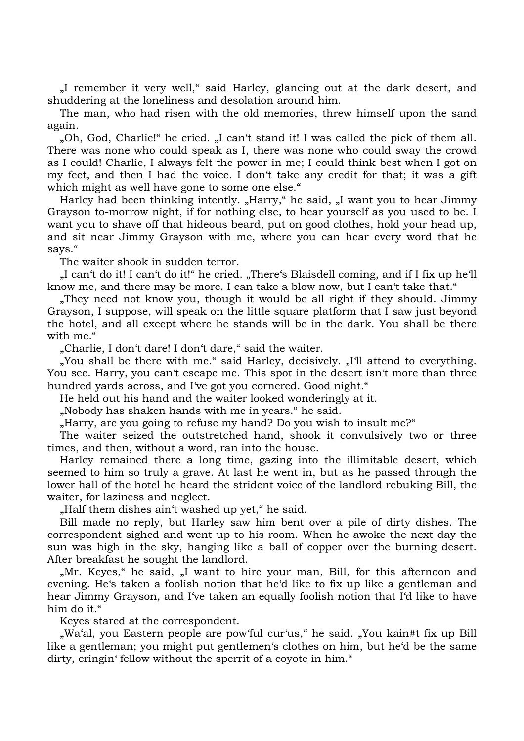"I remember it very well," said Harley, glancing out at the dark desert, and shuddering at the loneliness and desolation around him.

The man, who had risen with the old memories, threw himself upon the sand again.

"Oh, God, Charlie!" he cried. "I can't stand it! I was called the pick of them all. There was none who could speak as I, there was none who could sway the crowd as I could! Charlie, I always felt the power in me; I could think best when I got on my feet, and then I had the voice. I don't take any credit for that; it was a gift which might as well have gone to some one else."

Harley had been thinking intently. "Harry," he said, "I want you to hear Jimmy Grayson to-morrow night, if for nothing else, to hear yourself as you used to be. I want you to shave off that hideous beard, put on good clothes, hold your head up, and sit near Jimmy Grayson with me, where you can hear every word that he says."

The waiter shook in sudden terror.

"I can't do it! I can't do it!" he cried. "There's Blaisdell coming, and if I fix up he'll know me, and there may be more. I can take a blow now, but I can't take that."

"They need not know you, though it would be all right if they should. Jimmy Grayson, I suppose, will speak on the little square platform that I saw just beyond the hotel, and all except where he stands will be in the dark. You shall be there with me."

"Charlie, I don't dare! I don't dare," said the waiter.

"You shall be there with me." said Harley, decisively. "I'll attend to everything. You see. Harry, you can't escape me. This spot in the desert isn't more than three hundred yards across, and I've got you cornered. Good night."

He held out his hand and the waiter looked wonderingly at it.

"Nobody has shaken hands with me in years." he said.

"Harry, are you going to refuse my hand? Do you wish to insult me?"

The waiter seized the outstretched hand, shook it convulsively two or three times, and then, without a word, ran into the house.

Harley remained there a long time, gazing into the illimitable desert, which seemed to him so truly a grave. At last he went in, but as he passed through the lower hall of the hotel he heard the strident voice of the landlord rebuking Bill, the waiter, for laziness and neglect.

"Half them dishes ain't washed up yet," he said.

Bill made no reply, but Harley saw him bent over a pile of dirty dishes. The correspondent sighed and went up to his room. When he awoke the next day the sun was high in the sky, hanging like a ball of copper over the burning desert. After breakfast he sought the landlord.

"Mr. Keyes," he said, "I want to hire your man, Bill, for this afternoon and evening. He's taken a foolish notion that he'd like to fix up like a gentleman and hear Jimmy Grayson, and I've taken an equally foolish notion that I'd like to have him do it."

Keyes stared at the correspondent.

"Wa'al, you Eastern people are pow'ful cur'us," he said. "You kain#t fix up Bill like a gentleman; you might put gentlemen's clothes on him, but he'd be the same dirty, cringin' fellow without the sperrit of a coyote in him."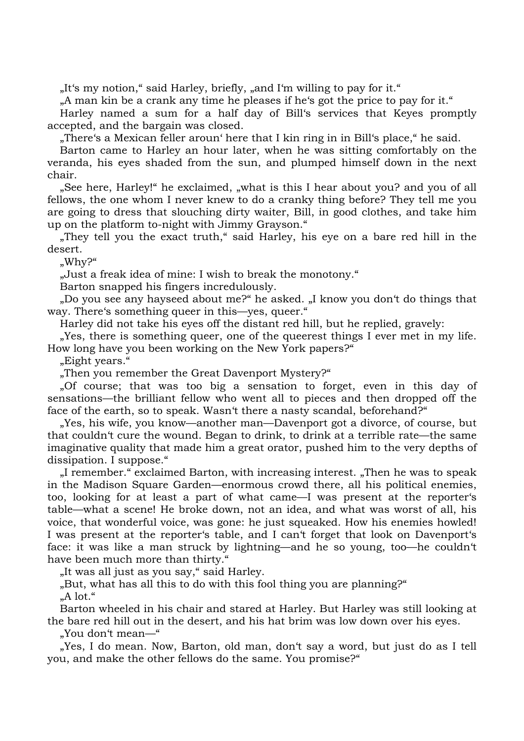"It's my notion," said Harley, briefly, "and I'm willing to pay for it."

"A man kin be a crank any time he pleases if he's got the price to pay for it."

Harley named a sum for a half day of Bill's services that Keyes promptly accepted, and the bargain was closed.

"There's a Mexican feller aroun' here that I kin ring in in Bill's place," he said.

Barton came to Harley an hour later, when he was sitting comfortably on the veranda, his eyes shaded from the sun, and plumped himself down in the next chair.

"See here, Harley!" he exclaimed, "what is this I hear about you? and you of all fellows, the one whom I never knew to do a cranky thing before? They tell me you are going to dress that slouching dirty waiter, Bill, in good clothes, and take him up on the platform to-night with Jimmy Grayson."

"They tell you the exact truth," said Harley, his eye on a bare red hill in the desert.

"Why?"

"Just a freak idea of mine: I wish to break the monotony."

Barton snapped his fingers incredulously.

"Do you see any hayseed about me?" he asked. "I know you don't do things that way. There's something queer in this—yes, queer."

Harley did not take his eyes off the distant red hill, but he replied, gravely:

"Yes, there is something queer, one of the queerest things I ever met in my life. How long have you been working on the New York papers?"

"Eight years."

"Then you remember the Great Davenport Mystery?"

"Of course; that was too big a sensation to forget, even in this day of sensations—the brilliant fellow who went all to pieces and then dropped off the face of the earth, so to speak. Wasn't there a nasty scandal, beforehand?"

"Yes, his wife, you know—another man—Davenport got a divorce, of course, but that couldn't cure the wound. Began to drink, to drink at a terrible rate—the same imaginative quality that made him a great orator, pushed him to the very depths of dissipation. I suppose."

I remember." exclaimed Barton, with increasing interest. Then he was to speak in the Madison Square Garden—enormous crowd there, all his political enemies, too, looking for at least a part of what came—I was present at the reporter's table—what a scene! He broke down, not an idea, and what was worst of all, his voice, that wonderful voice, was gone: he just squeaked. How his enemies howled! I was present at the reporter's table, and I can't forget that look on Davenport's face: it was like a man struck by lightning—and he so young, too—he couldn't have been much more than thirty."

"It was all just as you say," said Harley.

"But, what has all this to do with this fool thing you are planning?"  $.A$  lot."

Barton wheeled in his chair and stared at Harley. But Harley was still looking at the bare red hill out in the desert, and his hat brim was low down over his eyes.

"You don't mean—"

"Yes, I do mean. Now, Barton, old man, don't say a word, but just do as I tell you, and make the other fellows do the same. You promise?"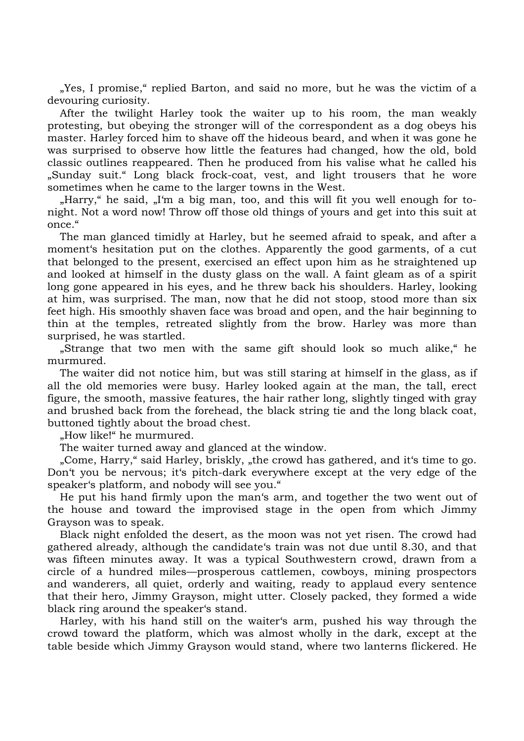"Yes, I promise," replied Barton, and said no more, but he was the victim of a devouring curiosity.

After the twilight Harley took the waiter up to his room, the man weakly protesting, but obeying the stronger will of the correspondent as a dog obeys his master. Harley forced him to shave off the hideous beard, and when it was gone he was surprised to observe how little the features had changed, how the old, bold classic outlines reappeared. Then he produced from his valise what he called his "Sunday suit." Long black frock-coat, vest, and light trousers that he wore sometimes when he came to the larger towns in the West.

"Harry," he said, "I'm a big man, too, and this will fit you well enough for tonight. Not a word now! Throw off those old things of yours and get into this suit at once."

The man glanced timidly at Harley, but he seemed afraid to speak, and after a moment's hesitation put on the clothes. Apparently the good garments, of a cut that belonged to the present, exercised an effect upon him as he straightened up and looked at himself in the dusty glass on the wall. A faint gleam as of a spirit long gone appeared in his eyes, and he threw back his shoulders. Harley, looking at him, was surprised. The man, now that he did not stoop, stood more than six feet high. His smoothly shaven face was broad and open, and the hair beginning to thin at the temples, retreated slightly from the brow. Harley was more than surprised, he was startled.

"Strange that two men with the same gift should look so much alike," he murmured.

The waiter did not notice him, but was still staring at himself in the glass, as if all the old memories were busy. Harley looked again at the man, the tall, erect figure, the smooth, massive features, the hair rather long, slightly tinged with gray and brushed back from the forehead, the black string tie and the long black coat, buttoned tightly about the broad chest.

"How like!" he murmured.

The waiter turned away and glanced at the window.

"Come, Harry," said Harley, briskly, "the crowd has gathered, and it's time to go. Don't you be nervous; it's pitch-dark everywhere except at the very edge of the speaker's platform, and nobody will see you."

He put his hand firmly upon the man's arm, and together the two went out of the house and toward the improvised stage in the open from which Jimmy Grayson was to speak.

Black night enfolded the desert, as the moon was not yet risen. The crowd had gathered already, although the candidate's train was not due until 8.30, and that was fifteen minutes away. It was a typical Southwestern crowd, drawn from a circle of a hundred miles—prosperous cattlemen, cowboys, mining prospectors and wanderers, all quiet, orderly and waiting, ready to applaud every sentence that their hero, Jimmy Grayson, might utter. Closely packed, they formed a wide black ring around the speaker's stand.

Harley, with his hand still on the waiter's arm, pushed his way through the crowd toward the platform, which was almost wholly in the dark, except at the table beside which Jimmy Grayson would stand, where two lanterns flickered. He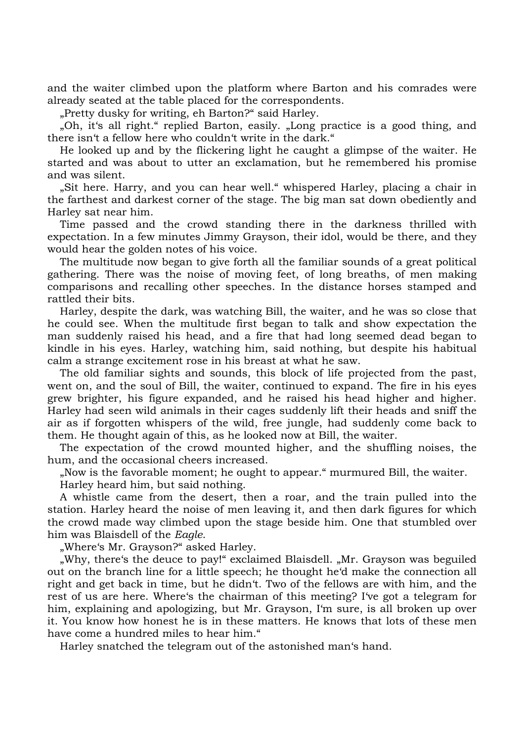and the waiter climbed upon the platform where Barton and his comrades were already seated at the table placed for the correspondents.

"Pretty dusky for writing, eh Barton?" said Harley.

"Oh, it's all right." replied Barton, easily. "Long practice is a good thing, and there isn't a fellow here who couldn't write in the dark."

He looked up and by the flickering light he caught a glimpse of the waiter. He started and was about to utter an exclamation, but he remembered his promise and was silent.

"Sit here. Harry, and you can hear well." whispered Harley, placing a chair in the farthest and darkest corner of the stage. The big man sat down obediently and Harley sat near him.

Time passed and the crowd standing there in the darkness thrilled with expectation. In a few minutes Jimmy Grayson, their idol, would be there, and they would hear the golden notes of his voice.

The multitude now began to give forth all the familiar sounds of a great political gathering. There was the noise of moving feet, of long breaths, of men making comparisons and recalling other speeches. In the distance horses stamped and rattled their bits.

Harley, despite the dark, was watching Bill, the waiter, and he was so close that he could see. When the multitude first began to talk and show expectation the man suddenly raised his head, and a fire that had long seemed dead began to kindle in his eyes. Harley, watching him, said nothing, but despite his habitual calm a strange excitement rose in his breast at what he saw.

The old familiar sights and sounds, this block of life projected from the past, went on, and the soul of Bill, the waiter, continued to expand. The fire in his eyes grew brighter, his figure expanded, and he raised his head higher and higher. Harley had seen wild animals in their cages suddenly lift their heads and sniff the air as if forgotten whispers of the wild, free jungle, had suddenly come back to them. He thought again of this, as he looked now at Bill, the waiter.

The expectation of the crowd mounted higher, and the shuffling noises, the hum, and the occasional cheers increased.

"Now is the favorable moment; he ought to appear." murmured Bill, the waiter.

Harley heard him, but said nothing.

A whistle came from the desert, then a roar, and the train pulled into the station. Harley heard the noise of men leaving it, and then dark figures for which the crowd made way climbed upon the stage beside him. One that stumbled over him was Blaisdell of the *Eagle*.

"Where's Mr. Grayson?" asked Harley.

"Why, there's the deuce to pay!" exclaimed Blaisdell. "Mr. Grayson was beguiled out on the branch line for a little speech; he thought he'd make the connection all right and get back in time, but he didn't. Two of the fellows are with him, and the rest of us are here. Where's the chairman of this meeting? I've got a telegram for him, explaining and apologizing, but Mr. Grayson, I'm sure, is all broken up over it. You know how honest he is in these matters. He knows that lots of these men have come a hundred miles to hear him."

Harley snatched the telegram out of the astonished man's hand.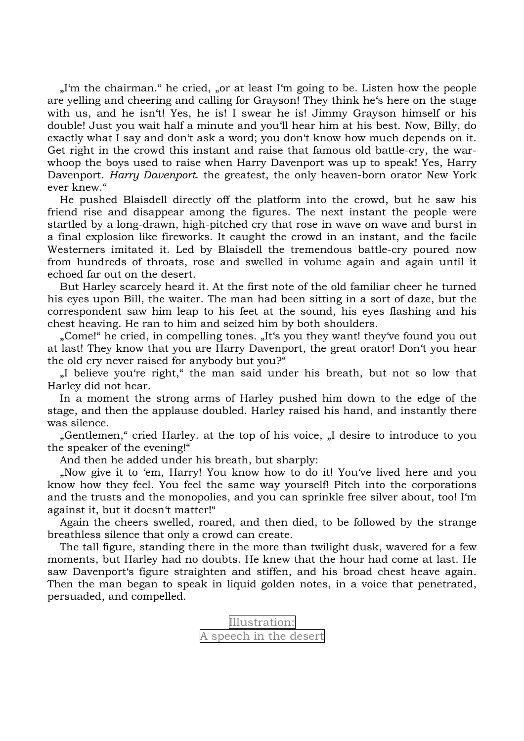"I'm the chairman." he cried, "or at least I'm going to be. Listen how the people are yelling and cheering and calling for Grayson! They think he's here on the stage with us, and he isn't! Yes, he is! I swear he is! Jimmy Grayson himself or his double! Just you wait half a minute and you'll hear him at his best. Now, Billy, do exactly what I say and don't ask a word; you don't know how much depends on it. Get right in the crowd this instant and raise that famous old battle-cry, the warwhoop the boys used to raise when Harry Davenport was up to speak! Yes, Harry Davenport. *Harry Davenport*. the greatest, the only heaven-born orator New York ever knew."

He pushed Blaisdell directly off the platform into the crowd, but he saw his friend rise and disappear among the figures. The next instant the people were startled by a long-drawn, high-pitched cry that rose in wave on wave and burst in a final explosion like fireworks. It caught the crowd in an instant, and the facile Westerners imitated it. Led by Blaisdell the tremendous battle-cry poured now from hundreds of throats, rose and swelled in volume again and again until it echoed far out on the desert.

But Harley scarcely heard it. At the first note of the old familiar cheer he turned his eyes upon Bill, the waiter. The man had been sitting in a sort of daze, but the correspondent saw him leap to his feet at the sound, his eyes flashing and his chest heaving. He ran to him and seized him by both shoulders.

"Come!" he cried, in compelling tones. "It's you they want! they've found you out at last! They know that you are Harry Davenport, the great orator! Don't you hear the old cry never raised for anybody but you?"

"I believe you're right," the man said under his breath, but not so low that Harley did not hear.

In a moment the strong arms of Harley pushed him down to the edge of the stage, and then the applause doubled. Harley raised his hand, and instantly there was silence.

"Gentlemen," cried Harley. at the top of his voice, "I desire to introduce to you the speaker of the evening!"

And then he added under his breath, but sharply:

"Now give it to 'em, Harry! You know how to do it! You've lived here and you know how they feel. You feel the same way yourself! Pitch into the corporations and the trusts and the monopolies, and you can sprinkle free silver about, too! I'm against it, but it doesn't matter!"

Again the cheers swelled, roared, and then died, to be followed by the strange breathless silence that only a crowd can create.

The tall figure, standing there in the more than twilight dusk, wavered for a few moments, but Harley had no doubts. He knew that the hour had come at last. He saw Davenport's figure straighten and stiffen, and his broad chest heave again. Then the man began to speak in liquid golden notes, in a voice that penetrated, persuaded, and compelled.

> Illustration: A speech in the desert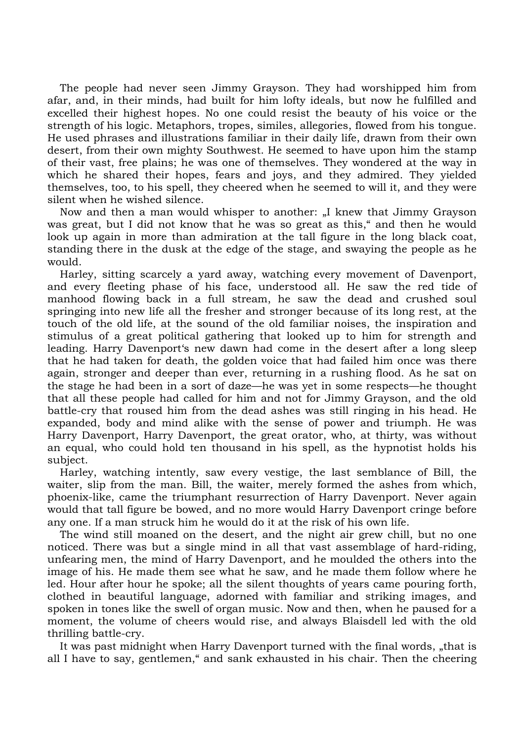The people had never seen Jimmy Grayson. They had worshipped him from afar, and, in their minds, had built for him lofty ideals, but now he fulfilled and excelled their highest hopes. No one could resist the beauty of his voice or the strength of his logic. Metaphors, tropes, similes, allegories, flowed from his tongue. He used phrases and illustrations familiar in their daily life, drawn from their own desert, from their own mighty Southwest. He seemed to have upon him the stamp of their vast, free plains; he was one of themselves. They wondered at the way in which he shared their hopes, fears and joys, and they admired. They yielded themselves, too, to his spell, they cheered when he seemed to will it, and they were silent when he wished silence.

Now and then a man would whisper to another: "I knew that Jimmy Grayson was great, but I did not know that he was so great as this," and then he would look up again in more than admiration at the tall figure in the long black coat, standing there in the dusk at the edge of the stage, and swaying the people as he would.

Harley, sitting scarcely a yard away, watching every movement of Davenport, and every fleeting phase of his face, understood all. He saw the red tide of manhood flowing back in a full stream, he saw the dead and crushed soul springing into new life all the fresher and stronger because of its long rest, at the touch of the old life, at the sound of the old familiar noises, the inspiration and stimulus of a great political gathering that looked up to him for strength and leading. Harry Davenport's new dawn had come in the desert after a long sleep that he had taken for death, the golden voice that had failed him once was there again, stronger and deeper than ever, returning in a rushing flood. As he sat on the stage he had been in a sort of daze—he was yet in some respects—he thought that all these people had called for him and not for Jimmy Grayson, and the old battle-cry that roused him from the dead ashes was still ringing in his head. He expanded, body and mind alike with the sense of power and triumph. He was Harry Davenport, Harry Davenport, the great orator, who, at thirty, was without an equal, who could hold ten thousand in his spell, as the hypnotist holds his subject.

Harley, watching intently, saw every vestige, the last semblance of Bill, the waiter, slip from the man. Bill, the waiter, merely formed the ashes from which, phoenix-like, came the triumphant resurrection of Harry Davenport. Never again would that tall figure be bowed, and no more would Harry Davenport cringe before any one. If a man struck him he would do it at the risk of his own life.

The wind still moaned on the desert, and the night air grew chill, but no one noticed. There was but a single mind in all that vast assemblage of hard-riding, unfearing men, the mind of Harry Davenport, and he moulded the others into the image of his. He made them see what he saw, and he made them follow where he led. Hour after hour he spoke; all the silent thoughts of years came pouring forth, clothed in beautiful language, adorned with familiar and striking images, and spoken in tones like the swell of organ music. Now and then, when he paused for a moment, the volume of cheers would rise, and always Blaisdell led with the old thrilling battle-cry.

It was past midnight when Harry Davenport turned with the final words, "that is all I have to say, gentlemen," and sank exhausted in his chair. Then the cheering